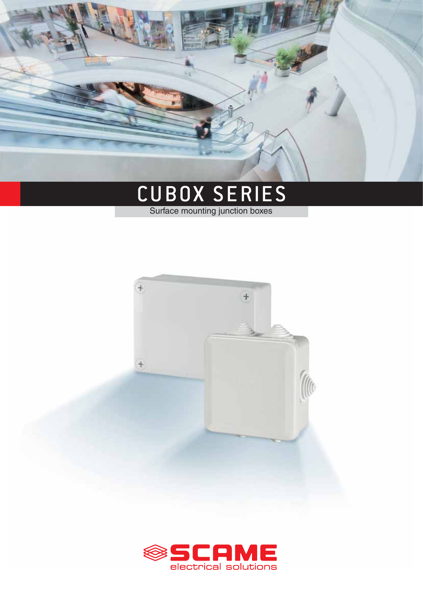# **СЕРИЯ CUBOX**

# **РАСПРЕДЕЛИТЕЛЬНЫЕ КОРОБКИ ДЛЯ ЭЛЕКТРИЧЕСКОГО МОНТАЖА СПРАВОЧНЫЕ СТАНДАРТЫ**



#### **EN 60670-1**

Коробки и корпуса для электрических аксессуаров для бытовых и аналогичных стационарных электрических установок. *Раздел 1: Общие требования*.

#### **EN 60670-22**

Коробки и корпуса для электрических аксессуаров для бытовых и аналогичных стационарных электрических установок. *Раздел 22*: *Особые требования для монтажа распределительных коробок и корпусов*.

## **ВАРИАНТЫ**

| - С резиновыми кабельными сальниками<br>и открывающейся крышкой                         |
|-----------------------------------------------------------------------------------------|
| - С резиновыми кабельными сальниками<br>и открывающейся крышкой на 1/4 оборота<br>винта |
|                                                                                         |
| - Без пезиновых кабельных сальников и                                                   |

- Без резиновых кабельных сальников и открывающейся крышкой на 1/4 оборота винта

## **ТЕХНИЧЕСКИЕ ХАРАКТЕРИСТИКИ**

| Степень защиты:                   | <b>IP55</b>                      |
|-----------------------------------|----------------------------------|
| Рабочая температура               |                                  |
| согласно справочному              |                                  |
| стандарту:                        | $-25^{\circ}$ C +35 $^{\circ}$ C |
| Макс. рабочая температура:        | $60^{\circ}$ C                   |
| Тест раскаленной проволкой: 650°С |                                  |
| Материал:                         | Инженерный пластик               |
| Механическая прочность            | <b>IK07</b>                      |
| Кабельные вводы:                  | С/без резиновых сальников        |
| Общий монтаж 回:                   | Да                               |
| Без галогенов:                    | Нет                              |
| Монтаж DIN-рейки:                 | Да                               |
| Цвет:                             | <b>Серый RAL 7035</b>            |

## **ВЗАИМОДЕЙСТВИЕ С ХИМИЧЕСКИМИ И АТМОСФЕРНЫМИ ВЕЩЕСТВАМИ**

| Солевые<br>растворы | Кислоты                     |                   | Щелочи                 |                   | Растворители          |                       |                       |                             | Мине-            | yф       |
|---------------------|-----------------------------|-------------------|------------------------|-------------------|-----------------------|-----------------------|-----------------------|-----------------------------|------------------|----------|
|                     | Концентри-<br>рованные      | Разбав-<br>ленные | Концентри-<br>рованные | Разбав-<br>ленные | Гексан                | Бензин                | Ацетон                | Спирты                      | ральные<br>масла | лучи     |
| Устойчив            | Частично<br><b>УСТОЙЧИВ</b> | Устойчив          | Устойчив               | Устойчив          | He<br><b>УСТОЙЧИВ</b> | He<br><b>УСТОЙЧИВ</b> | He<br><b>УСТОЙЧИВ</b> | Частично<br><b>УСТОЙЧИВ</b> | Устойчив         | Устойчив |

Для конкретных веществ, пожалуйста, свяжитесь с нашей технической службой.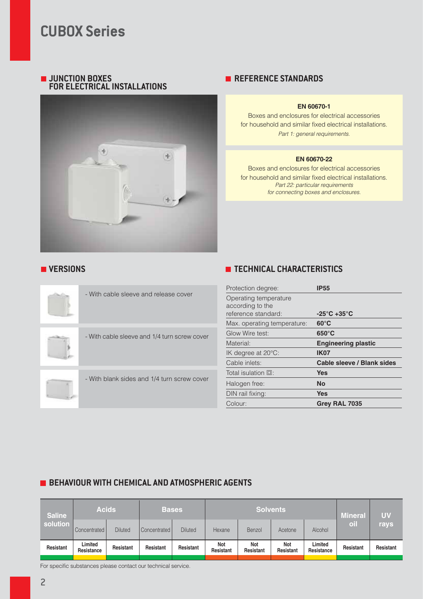# **РАСПРЕДЕЛИТЕЛЬНЫЕ КОРОБКИ С РЕЗИНОВЫМИ КАБЕЛЬНЫМИ САЛЬНИКАМИ - IP55**

| Крышка               | Размеры<br>(мм) | Кол-во<br><b>ВЫХОДОВ</b> | Для          | Фиксация<br>винтами | ₽     |         |
|----------------------|-----------------|--------------------------|--------------|---------------------|-------|---------|
|                      | ø65x40          | 4хø23 мм                 | <b>PG 16</b> | 2                   | 4/100 | 689,001 |
| Крышка<br>без винтов | ø80x40          | 4xø23 MM                 | <b>PG 16</b> | 2                   | 4/100 | 689.002 |
|                      | 80x80x40        | 7хø23 мм                 | <b>PG 16</b> | 2                   | 4/60  | 689,003 |
| Крышка<br>с винтами  | 100x100x50      | 7хø23 мм                 | <b>PG 21</b> | 4                   | 1/48  | 689.004 |
|                      | 120x80x50       | 6хø29 мм                 | <b>PG 21</b> | 4                   | 1/54  | 689,005 |
|                      | 150x110x70      | 10хø29 мм                | <b>PG 21</b> | 4                   | 1/40  | 689,006 |

# **РАСПРЕДЕЛИТЕЛЬНЫЕ КОРОБКИ БЕЗ РЕЗИНОВЫХ КАБЕЛЬНЫХ САЛЬНИКОВ - IP55**



# **АКСЕССУАРЫ**

**Описание**

Зищитные колпачки 12 штук 10/100 **654.0080**



**SCAME**